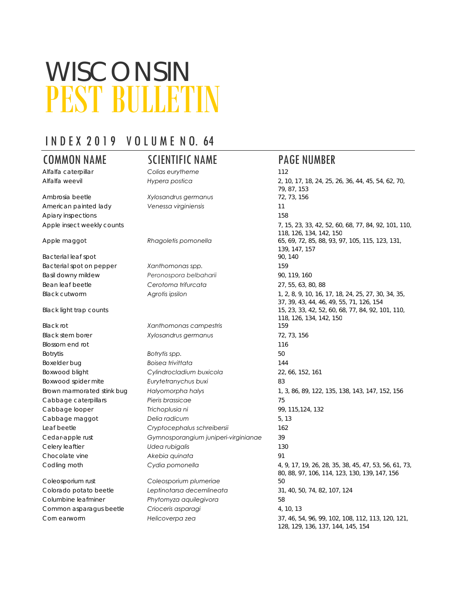# PEST BULLETIN WISCONSIN

# I N D E X 2 0 1 9 V O L U M E N O. 64

Alfalfa caterpillar *Colias eurytheme* 112

Ambrosia beetle *Xylosandrus germanus* 72, 73, 156 American painted lady *Venessa virginiensis* 11 Apiary inspections 158

Bacterial leaf spot 90, 140 Bacterial spot on pepper *Xanthomonas spp.* 159 Basil downy mildew *Peronospora belbaharii* 90, 119, 160 Bean leaf beetle *Cerotoma trifurcata* 27, 55, 63, 80, 88

Black rot *Xanthomonas campestris* 159 Black stem borer *Xylosandrus germanus* 72, 73, 156 Blossom end rot 116 Botrytis **Botrytis spp.** 50 Boxelder bug *Boisea trivittata* 144 Boxwood blight *Cylindrocladium buxicola* 22, 66, 152, 161 Boxwood spider mite *Eurytetranychus buxi* 83 Cabbage caterpillars *Pieris brassicae* 75 Cabbage looper **115,124, 132** Trichoplusia ni **99, 115,124**, 132 Cabbage maggot *Delia radicum* 5, 13 Leaf beetle *Cryptocephalus schreibersii* 162 Cedar-apple rust *Gymnosporangium juniperi-virginianae* 39 Celery leaftier *Udea rubigalis* 130 Chocolate vine *Akebia quinata* 91

Coleosporium rust *Coleosporium plumeriae* 50 Colorado potato beetle *Leptinotarsa decemlineata* 31, 40, 50, 74, 82, 107, 124 Columbine leafminer *Phytomyza aquilegivora* 58 Common asparagus beetle *Crioceris asparagi* 4, 10, 13

## COMMON NAME SCIENTIFIC NAME PAGE NUMBER

Alfalfa weevil *Hypera postica* 2, 10, 17, 18, 24, 25, 26, 36, 44, 45, 54, 62, 70, 79, 87, 153 Apple insect weekly counts **7, 15, 23, 33, 42, 52, 60, 68, 77, 84, 92, 101**, 110, 118, 126, 134, 142, 150 Apple maggot *Rhagoletis pomonella* 65, 69, 72, 85, 88, 93, 97, 105, 115, 123, 131, 139, 147, 157 Black cutworm *Agrotis ipsilon* 1, 2, 8, 9, 10, 16, 17, 18, 24, 25, 27, 30, 34, 35, 37, 39, 43, 44, 46, 49, 55, 71, 126, 154 Black light trap counts 15, 23, 33, 42, 52, 60, 68, 77, 84, 92, 101, 110, 118, 126, 134, 142, 150 Brown marmorated stink bug *Halyomorpha halys* 1, 3, 86, 89, 122, 135, 138, 143, 147, 152, 156 Codling moth *Cydia pomonella* 4, 9, 17, 19, 26, 28, 35, 38, 45, 47, 53, 56, 61, 73, 80, 88, 97, 106, 114, 123, 130, 139, 147, 156 Corn earworm *Helicoverpa zea* 37, 46, 54, 96, 99, 102, 108, 112, 113, 120, 121, 128, 129, 136, 137, 144, 145, 154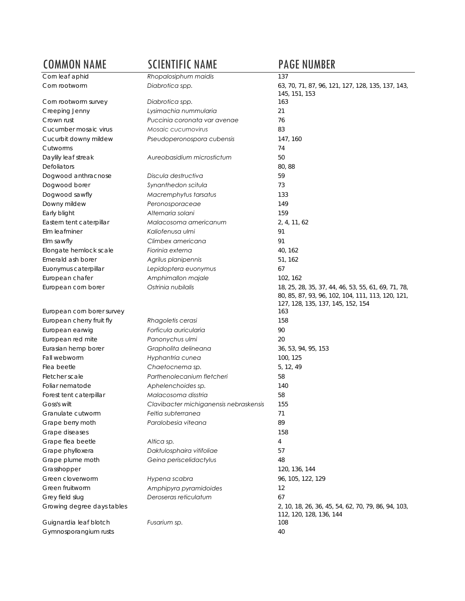| <b>COMMON NAME</b>                              | <b>SCIENTIFIC NAME</b>                                       | <b>PAGE NUMBER</b>                                                                                                                            |
|-------------------------------------------------|--------------------------------------------------------------|-----------------------------------------------------------------------------------------------------------------------------------------------|
| Corn leaf aphid                                 | Rhopalosiphum maidis                                         | 137                                                                                                                                           |
| Corn rootworm                                   | Diabrotica spp.                                              | 63, 70, 71, 87, 96, 121, 127, 128, 135, 137, 143,<br>145, 151, 153                                                                            |
| Corn rootworm survey                            | Diabrotica spp.                                              | 163                                                                                                                                           |
| Creeping Jenny                                  | Lysimachia nummularia                                        | 21                                                                                                                                            |
| Crown rust                                      | Puccinia coronata var avenae                                 | 76                                                                                                                                            |
| Cucumber mosaic virus                           | Mosaic cucumovirus                                           | 83                                                                                                                                            |
| Cucurbit downy mildew<br>Cutworms               | Pseudoperonospora cubensis                                   | 147, 160<br>74                                                                                                                                |
| Daylily leaf streak                             | Aureobasidium microstictum                                   | 50                                                                                                                                            |
| Defoliators                                     |                                                              | 80,88                                                                                                                                         |
| Dogwood anthracnose                             | Discula destructiva                                          | 59                                                                                                                                            |
| Dogwood borer                                   | Synanthedon scitula                                          | 73                                                                                                                                            |
| Dogwood sawfly                                  | Macremphytus tarsatus                                        | 133                                                                                                                                           |
| Downy mildew                                    | Peronosporaceae                                              | 149                                                                                                                                           |
| Early blight                                    | Alternaria solani                                            | 159                                                                                                                                           |
| Eastern tent caterpillar                        | Malacosoma americanum                                        | 2, 4, 11, 62                                                                                                                                  |
| Elm leafminer                                   | Kaliofenusa ulmi                                             | 91                                                                                                                                            |
| Elm sawfly                                      | Climbex americana                                            | 91                                                                                                                                            |
| Elongate hemlock scale                          | Fiorinia externa                                             | 40, 162                                                                                                                                       |
| Emerald ash borer                               | Agrilus planipennis                                          | 51, 162                                                                                                                                       |
| Euonymus caterpillar                            | Lepidoptera euonymus                                         | 67                                                                                                                                            |
| European chafer                                 | Amphimallon majale                                           | 102, 162                                                                                                                                      |
| European corn borer                             | Ostrinia nubilalis                                           | 18, 25, 28, 35, 37, 44, 46, 53, 55, 61, 69, 71, 78,<br>80, 85, 87, 93, 96, 102, 104, 111, 113, 120, 121,<br>127, 128, 135, 137, 145, 152, 154 |
| European corn borer survey                      |                                                              | 163                                                                                                                                           |
| European cherry fruit fly                       | Rhagoletis cerasi                                            | 158                                                                                                                                           |
| European earwig                                 | Forficula auricularia                                        | 90                                                                                                                                            |
| European red mite                               | Panonychus ulmi                                              | 20                                                                                                                                            |
| Eurasian hemp borer                             | Grapholita delineana                                         | 36, 53, 94, 95, 153                                                                                                                           |
| Fall webworm                                    | Hyphantria cunea                                             | 100, 125                                                                                                                                      |
| Flea beetle                                     | Chaetocnema sp.                                              | 5, 12, 49                                                                                                                                     |
| Fletcher scale                                  | Parthenolecanium fletcheri                                   | 58                                                                                                                                            |
| Foliar nematode                                 | Aphelenchoides sp.                                           | 140<br>58                                                                                                                                     |
| Forest tent caterpillar<br>Goss's wilt          | Malacosoma disstria                                          |                                                                                                                                               |
| Granulate cutworm                               | Clavibacter michiganensis nebraskensis<br>Feltia subterranea | 155<br>71                                                                                                                                     |
|                                                 | Paralobesia viteana                                          | 89                                                                                                                                            |
| Grape berry moth<br>Grape diseases              |                                                              | 158                                                                                                                                           |
| Grape flea beetle                               | Altica sp.                                                   | 4                                                                                                                                             |
| Grape phylloxera                                | Daktulosphaira vitifoliae                                    | 57                                                                                                                                            |
| Grape plume moth                                | Geina periscelidactylus                                      | 48                                                                                                                                            |
| Grasshopper                                     |                                                              | 120, 136, 144                                                                                                                                 |
| Green cloverworm                                | Hypena scabra                                                | 96, 105, 122, 129                                                                                                                             |
| Green fruitworm                                 | Amphipyra pyramidoides                                       | 12                                                                                                                                            |
| Grey field slug                                 | Deroseras reticulatum                                        | 67                                                                                                                                            |
| Growing degree days tables                      |                                                              | 2, 10, 18, 26, 36, 45, 54, 62, 70, 79, 86, 94, 103,<br>112, 120, 128, 136, 144                                                                |
| Guignardia leaf blotch<br>Gymnosporangium rusts | Fusarium sp.                                                 | 108<br>40                                                                                                                                     |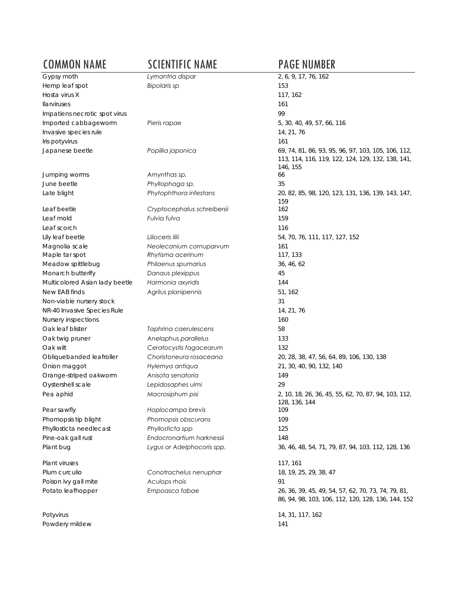## COMMON NAME SCIENTIFIC NAME PAGE NUMBER<br>
Sypsy moth Lymantria dispar 2, 6, 9, 17, 76, 162 Gypsy moth *Lymantria dispar* 2, 6, 9, 17, 76, 162 Hemp leaf spot *Bipolaris sp* 153 Hosta virus X 117, 162 Ilarviruses 161 Impatiens necrotic spot virus extending the state of the state of the state of the state of the state of the state of the state of the state of the state of the state of the state of the state of the state of the state of Imported cabbageworm *Pieris rapae* 5, 30, 40, 49, 57, 66, 116 Invasive species rule 14, 21, 76 Iris potyvirus 161 Japanese beetle *Popillia japonica* 69, 74, 81, 86, 93, 95, 96, 97, 103, 105, 106, 112, 113, 114, 116, 119, 122, 124, 129, 132, 138, 141, 146, 155 Jumping worms *Amynthas sp.* 66 June beetle *Phyllophaga sp.* 35 Late blight *Phytophthora infestans* 20, 82, 85, 98, 120, 123, 131, 136, 139, 143, 147, 159 Leaf beetle *Cryptocephalus schreibersii* 162 Leaf mold *Fulvia fulva* 159 Leaf scorch 116 Lily leaf beetle *Lilioceris lilii* 54, 70, 76, 111, 117, 127, 152 Magnolia scale *Neolecanium cornuparvum* 161 Maple tar spot *Rhytisma acerinum* 117, 133 Meadow spittlebug *Philaenus spumarius* 36, 46, 62 Monarch butterlfy *Danaus plexippus* 45 Multicolored Asian lady beetle *Harmonia axyridis* 144 New EAB finds *Agrilus planipennis* 51, 162 Non-viable nursery stock 31 NR-40 Invasive Species Rule 14, 21, 76 Nursery inspections 160 Oak leaf blister *Taphrina caerulescens* 58 Oak twig pruner *Anelaphus parallelus* 133 Oak wilt *Ceratocystis fagacearum* 132 Obliquebanded leafroller *Choristoneura rosaceana* 20, 28, 38, 47, 56, 64, 89, 106, 130, 138 Onion maggot *Hylemya antiqua* 21, 30, 40, 90, 132, 140 Orange-striped oakworm *Anisota senatoria* 149 Oystershell scale *Lepidosaphes ulmi* 29 Pea aphid *Macrosiphum pisi* 2, 10, 18, 26, 36, 45, 55, 62, 70, 87, 94, 103, 112, 128, 136, 144 Pear sawfly *Hoplocampa brevis* 109 Phomopsis tip blight *Phomopsis obscurans* 109 Phyllosticta needlecast *Phyllosticta spp* 125 Pine-oak gall rust *Endocronartium harknessii* 148 Plant bug *Lygus or Adelphocoris spp.* 36, 46, 48, 54, 71, 79, 87, 94, 103, 112, 128, 136 Plant viruses 117, 161 Plum curculio *Conotrachelus nenuphar* 18, 19, 25, 29, 38, 47 Poison ivy gall mite *Aculops rhois* 91 Potato leafhopper *Empoasca fabae* 26, 36, 39, 45, 49, 54, 57, 62, 70, 73, 74, 79, 81, 86, 94, 98, 103, 106, 112, 120, 128, 136, 144, 152 Potyvirus 14, 31, 117, 162 Powdery mildew 141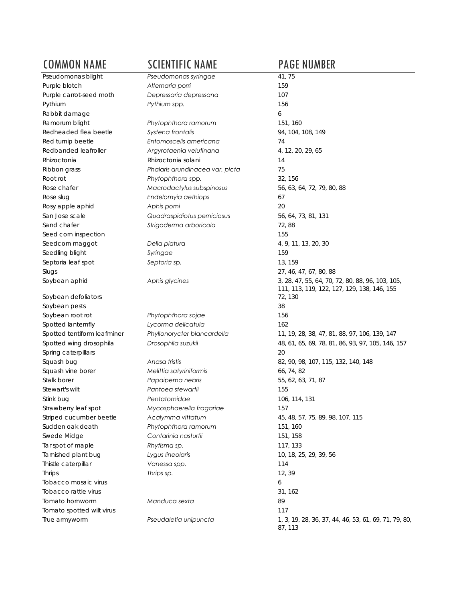Purple blotch **Alternaria porri** Pythium **Pythium** spp. Rabbit damage Redheaded flea beetle **Systena frontalis** Rhizoctonia **Rhizoctonia** Rhizoctonia solani Root rot **Phytophthora spp.** Rose slug *Endelomyia aethiops* 67 Rosy apple aphid **Aphis pomi** 2015 Seed corn inspection Seedcorn maggot **Delia platura** Seedling blight **Syringae** Septoria leaf spot *Septoria sp.* 13, 159 Soybean aphid *Aphis glycines* 3, 28, 47, 55, 64, 70, 72, 80, 88, 96, 103, 105,

Soybean defoliators Soybean pests Soybean root rot *Phytophthora sojae* Spotted lanternfly **Lycorma delicatula** Spotted wing drosophila *Drosophila suzukii* 48, 61, 65, 69, 78, 81, 86, 93, 97, 105, 146, 157 Spring caterpillars Squash bug **Anasa tristis** Squash vine borer **Melittia satyriniformis** Stalk borer *Papaipema nebris* Stewart's wilt *Pantoea stewartii* Stink bug *Pentatomidae* 106, 114, 131 Striped cucumber beetle **Acalymma vittatum** Sudden oak death *Phytophthora ramorum* Swede Midge **Contarinia nasturtii** Tar spot of maple **Rhytisma sp.** Tarnished plant bug **10, 2000** Lygus lineolaris Thistle caterpillar **Vanessa spp.** Tobacco mosaic virus 6 Tobacco rattle virus Tomato hornworm *Manduca sexta* 89 Tomato spotted wilt virus True armyworm **Pseudaletia unipuncta** 

## COMMON NAME SCIENTIFIC NAME PAGE NUMBER<br>
Pseudomonas blight Pseudomonas syringae 41,75 Pseudomonas syringae

Purple carrot-seed moth *Depressaria depressana* Ramorum blight **Phytophthora ramorum** Red turnip beetle **Entomoscelis americana** Redbanded leafroller **Argyrotaenia velutinana** Ribbon grass *Phalaris arundinacea var. picta* 75 Rose chafer **Macrodactylus subspinosus** San Jose scale *Quadraspidiotus perniciosus* 56, 64, 73, 81, 131 Sand chafer *Strigoderma arboricola* Slugs 27, 46, 47, 67, 80, 88 Spotted tentiform leafminer *Phyllonorycter blancardella* Strawberry leaf spot **Mycosphaerella fragariae** Thrips *Thrips sp.* 12, 39

| 41, 75                                                |
|-------------------------------------------------------|
| 159                                                   |
| 107                                                   |
| 156                                                   |
| 6                                                     |
| 151, 160                                              |
| 94, 104, 108, 149                                     |
| 74                                                    |
| 4, 12, 20, 29, 65                                     |
| 14                                                    |
|                                                       |
| 75                                                    |
| 32, 156                                               |
| 56, 63, 64, 72, 79, 80, 88                            |
| 67                                                    |
| 20                                                    |
| 56, 64, 73, 81, 131                                   |
| 72,88                                                 |
| 155                                                   |
| 4, 9, 11, 13, 20, 30                                  |
| 159                                                   |
| 13, 159                                               |
| 27, 46, 47, 67, 80, 88                                |
| 3, 28, 47, 55, 64, 70, 72, 80, 88, 96, 103, 105,      |
| 111, 113, 119, 122, 127, 129, 138, 146, 155           |
| 72, 130                                               |
| 38                                                    |
| 156                                                   |
| 162                                                   |
| 11, 19, 28, 38, 47, 81, 88, 97, 106, 139, 147         |
| 48, 61, 65, 69, 78, 81, 86, 93, 97, 105, 146, 157     |
| 20                                                    |
| 82, 90, 98, 107, 115, 132, 140, 148                   |
| 66, 74, 82                                            |
| 55, 62, 63, 71, 87                                    |
| 155                                                   |
| 106, 114, 131                                         |
| 157                                                   |
| 45, 48, 57, 75, 89, 98, 107, 115                      |
| 151, 160                                              |
| 151, 158                                              |
| 117, 133                                              |
| 10, 18, 25, 29, 39, 56                                |
| 114                                                   |
| 12,39                                                 |
| 6                                                     |
| 31, 162                                               |
| 89                                                    |
| 117                                                   |
| 1, 3, 19, 28, 36, 37, 44, 46, 53, 61, 69, 71, 79, 80, |
| 87.113                                                |